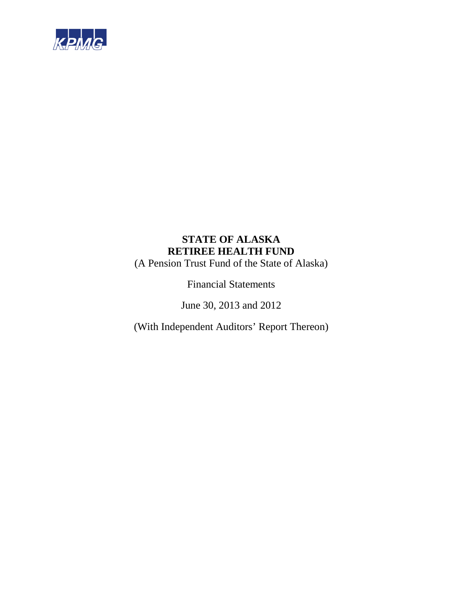

(A Pension Trust Fund of the State of Alaska)

Financial Statements

June 30, 2013 and 2012

(With Independent Auditors' Report Thereon)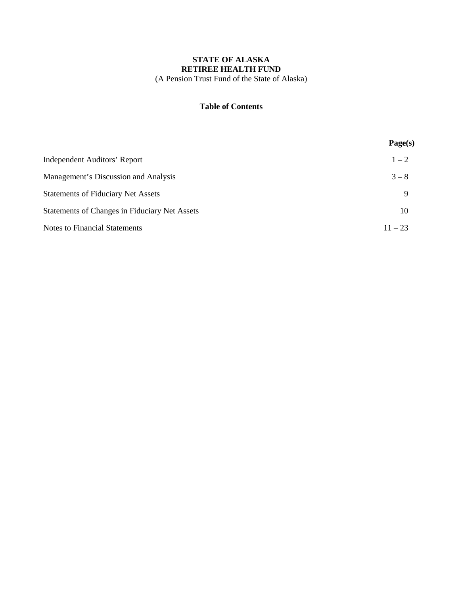# **STATE OF ALASKA RETIREE HEALTH FUND** (A Pension Trust Fund of the State of Alaska)

# **Table of Contents**

|                                               | Page(s)   |
|-----------------------------------------------|-----------|
| Independent Auditors' Report                  | $1 - 2$   |
| Management's Discussion and Analysis          | $3 - 8$   |
| <b>Statements of Fiduciary Net Assets</b>     | Q         |
| Statements of Changes in Fiduciary Net Assets | 10        |
| <b>Notes to Financial Statements</b>          | $11 - 23$ |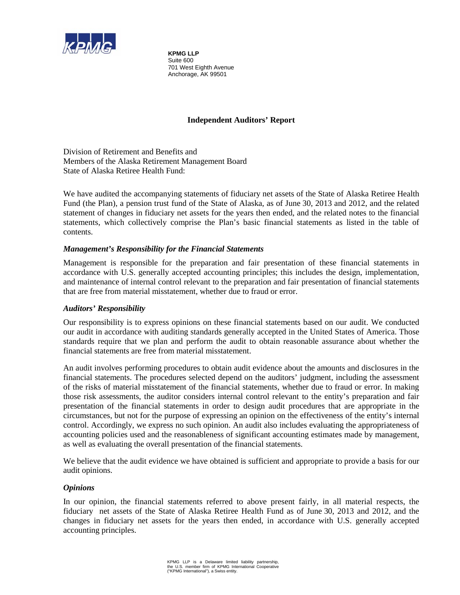

**KPMG LLP**  Suite 600 701 West Eighth Avenue Anchorage, AK 99501

# **Independent Auditors' Report**

Division of Retirement and Benefits and Members of the Alaska Retirement Management Board State of Alaska Retiree Health Fund:

We have audited the accompanying statements of fiduciary net assets of the State of Alaska Retiree Health Fund (the Plan), a pension trust fund of the State of Alaska, as of June 30, 2013 and 2012, and the related statement of changes in fiduciary net assets for the years then ended, and the related notes to the financial statements, which collectively comprise the Plan's basic financial statements as listed in the table of contents.

# *Management's Responsibility for the Financial Statements*

Management is responsible for the preparation and fair presentation of these financial statements in accordance with U.S. generally accepted accounting principles; this includes the design, implementation, and maintenance of internal control relevant to the preparation and fair presentation of financial statements that are free from material misstatement, whether due to fraud or error.

# *Auditors' Responsibility*

Our responsibility is to express opinions on these financial statements based on our audit. We conducted our audit in accordance with auditing standards generally accepted in the United States of America. Those standards require that we plan and perform the audit to obtain reasonable assurance about whether the financial statements are free from material misstatement.

An audit involves performing procedures to obtain audit evidence about the amounts and disclosures in the financial statements. The procedures selected depend on the auditors' judgment, including the assessment of the risks of material misstatement of the financial statements, whether due to fraud or error. In making those risk assessments, the auditor considers internal control relevant to the entity's preparation and fair presentation of the financial statements in order to design audit procedures that are appropriate in the circumstances, but not for the purpose of expressing an opinion on the effectiveness of the entity's internal control. Accordingly, we express no such opinion. An audit also includes evaluating the appropriateness of accounting policies used and the reasonableness of significant accounting estimates made by management, as well as evaluating the overall presentation of the financial statements.

We believe that the audit evidence we have obtained is sufficient and appropriate to provide a basis for our audit opinions.

# *Opinions*

In our opinion, the financial statements referred to above present fairly, in all material respects, the fiduciary net assets of the State of Alaska Retiree Health Fund as of June 30, 2013 and 2012, and the changes in fiduciary net assets for the years then ended, in accordance with U.S. generally accepted accounting principles.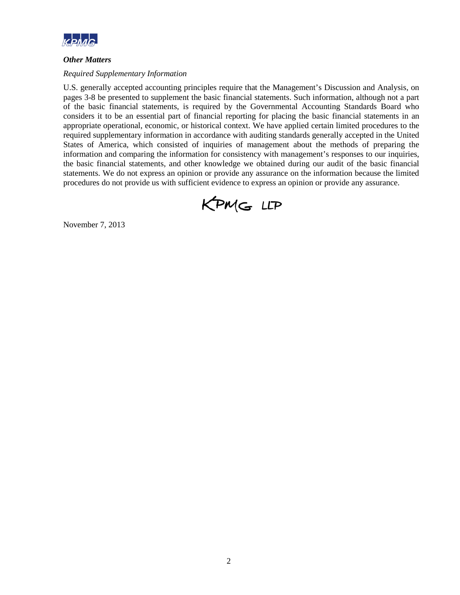

# *Other Matters*

# *Required Supplementary Information*

U.S. generally accepted accounting principles require that the Management's Discussion and Analysis, on pages 3-8 be presented to supplement the basic financial statements. Such information, although not a part of the basic financial statements, is required by the Governmental Accounting Standards Board who considers it to be an essential part of financial reporting for placing the basic financial statements in an appropriate operational, economic, or historical context. We have applied certain limited procedures to the required supplementary information in accordance with auditing standards generally accepted in the United States of America, which consisted of inquiries of management about the methods of preparing the information and comparing the information for consistency with management's responses to our inquiries, the basic financial statements, and other knowledge we obtained during our audit of the basic financial statements. We do not express an opinion or provide any assurance on the information because the limited procedures do not provide us with sufficient evidence to express an opinion or provide any assurance.



November 7, 2013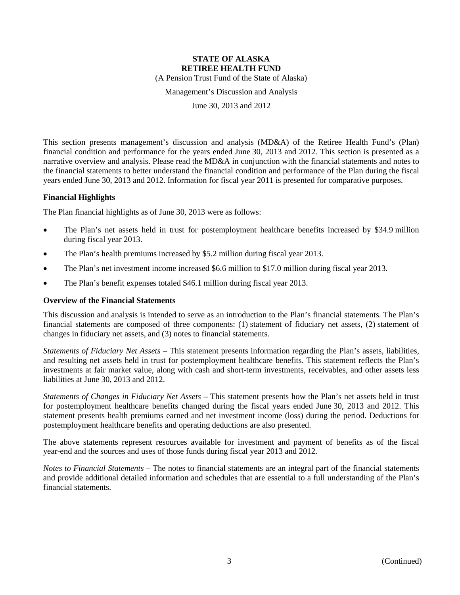(A Pension Trust Fund of the State of Alaska)

Management's Discussion and Analysis

June 30, 2013 and 2012

This section presents management's discussion and analysis (MD&A) of the Retiree Health Fund's (Plan) financial condition and performance for the years ended June 30, 2013 and 2012. This section is presented as a narrative overview and analysis. Please read the MD&A in conjunction with the financial statements and notes to the financial statements to better understand the financial condition and performance of the Plan during the fiscal years ended June 30, 2013 and 2012. Information for fiscal year 2011 is presented for comparative purposes.

### **Financial Highlights**

The Plan financial highlights as of June 30, 2013 were as follows:

- The Plan's net assets held in trust for postemployment healthcare benefits increased by \$34.9 million during fiscal year 2013.
- The Plan's health premiums increased by \$5.2 million during fiscal year 2013.
- The Plan's net investment income increased \$6.6 million to \$17.0 million during fiscal year 2013.
- The Plan's benefit expenses totaled \$46.1 million during fiscal year 2013.

### **Overview of the Financial Statements**

This discussion and analysis is intended to serve as an introduction to the Plan's financial statements. The Plan's financial statements are composed of three components: (1) statement of fiduciary net assets, (2) statement of changes in fiduciary net assets, and (3) notes to financial statements.

*Statements of Fiduciary Net Assets* – This statement presents information regarding the Plan's assets, liabilities, and resulting net assets held in trust for postemployment healthcare benefits. This statement reflects the Plan's investments at fair market value, along with cash and short-term investments, receivables, and other assets less liabilities at June 30, 2013 and 2012.

*Statements of Changes in Fiduciary Net Assets* – This statement presents how the Plan's net assets held in trust for postemployment healthcare benefits changed during the fiscal years ended June 30, 2013 and 2012. This statement presents health premiums earned and net investment income (loss) during the period. Deductions for postemployment healthcare benefits and operating deductions are also presented.

The above statements represent resources available for investment and payment of benefits as of the fiscal year-end and the sources and uses of those funds during fiscal year 2013 and 2012.

*Notes to Financial Statements* – The notes to financial statements are an integral part of the financial statements and provide additional detailed information and schedules that are essential to a full understanding of the Plan's financial statements.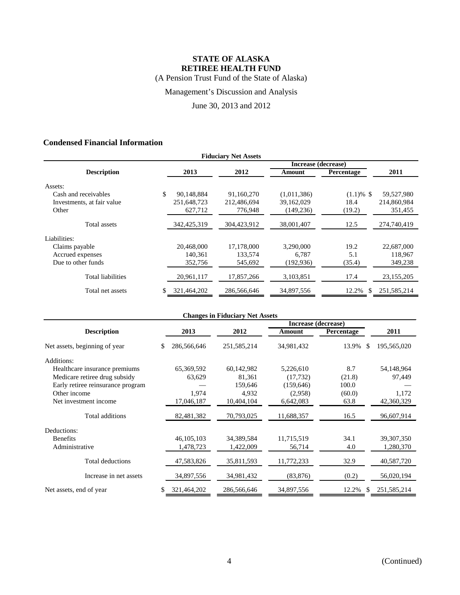(A Pension Trust Fund of the State of Alaska)

Management's Discussion and Analysis

June 30, 2013 and 2012

# **Condensed Financial Information**

| <b>Fiduciary Net Assets</b> |    |               |             |                     |                   |               |  |  |
|-----------------------------|----|---------------|-------------|---------------------|-------------------|---------------|--|--|
|                             |    |               |             | Increase (decrease) |                   |               |  |  |
| <b>Description</b>          |    | 2013          | 2012        | Amount              | <b>Percentage</b> | 2011          |  |  |
| Assets:                     |    |               |             |                     |                   |               |  |  |
| Cash and receivables        | \$ | 90,148,884    | 91,160,270  | (1,011,386)         | $(1.1) \%$ \$     | 59,527,980    |  |  |
| Investments, at fair value  |    | 251.648.723   | 212,486,694 | 39,162,029          | 18.4              | 214,860,984   |  |  |
| Other                       |    | 627,712       | 776,948     | (149, 236)          | (19.2)            | 351,455       |  |  |
| Total assets                |    | 342, 425, 319 | 304,423,912 | 38,001,407          | 12.5              | 274,740,419   |  |  |
| Liabilities:                |    |               |             |                     |                   |               |  |  |
| Claims payable              |    | 20.468,000    | 17,178,000  | 3.290.000           | 19.2              | 22,687,000    |  |  |
| Accrued expenses            |    | 140.361       | 133,574     | 6.787               | 5.1               | 118,967       |  |  |
| Due to other funds          |    | 352,756       | 545,692     | (192, 936)          | (35.4)            | 349,238       |  |  |
| <b>Total liabilities</b>    |    | 20,961,117    | 17,857,266  | 3,103,851           | 17.4              | 23,155,205    |  |  |
| Total net assets            |    | 321,464,202   | 286,566,646 | 34,897,556          | 12.2%<br>\$       | 251, 585, 214 |  |  |

| <b>Changes in Fiduciary Net Assets</b> |                     |             |            |             |              |  |  |  |
|----------------------------------------|---------------------|-------------|------------|-------------|--------------|--|--|--|
|                                        | Increase (decrease) |             |            |             |              |  |  |  |
| <b>Description</b>                     | 2013                | 2012        | Amount     | Percentage  | 2011         |  |  |  |
| Net assets, beginning of year          | 286,566,646<br>\$   | 251,585,214 | 34,981,432 | 13.9%<br>S  | 195,565,020  |  |  |  |
| Additions:                             |                     |             |            |             |              |  |  |  |
| Healthcare insurance premiums          | 65,369,592          | 60,142,982  | 5,226,610  | 8.7         | 54,148,964   |  |  |  |
| Medicare retiree drug subsidy          | 63,629              | 81,361      | (17, 732)  | (21.8)      | 97,449       |  |  |  |
| Early retiree reinsurance program      |                     | 159,646     | (159, 646) | 100.0       |              |  |  |  |
| Other income                           | 1.974               | 4,932       | (2,958)    | (60.0)      | 1,172        |  |  |  |
| Net investment income                  | 17,046,187          | 10,404,104  | 6,642,083  | 63.8        | 42,360,329   |  |  |  |
| Total additions                        | 82,481,382          | 70,793,025  | 11,688,357 | 16.5        | 96,607,914   |  |  |  |
| Deductions:                            |                     |             |            |             |              |  |  |  |
| <b>Benefits</b>                        | 46, 105, 103        | 34,389,584  | 11,715,519 | 34.1        | 39, 307, 350 |  |  |  |
| Administrative                         | 1,478,723           | 1,422,009   | 56,714     | 4.0         | 1,280,370    |  |  |  |
| <b>Total deductions</b>                | 47,583,826          | 35,811,593  | 11,772,233 | 32.9        | 40,587,720   |  |  |  |
| Increase in net assets                 | 34,897,556          | 34,981,432  | (83, 876)  | (0.2)       | 56,020,194   |  |  |  |
| Net assets, end of year                | 321,464,202<br>\$.  | 286,566,646 | 34,897,556 | 12.2%<br>\$ | 251,585,214  |  |  |  |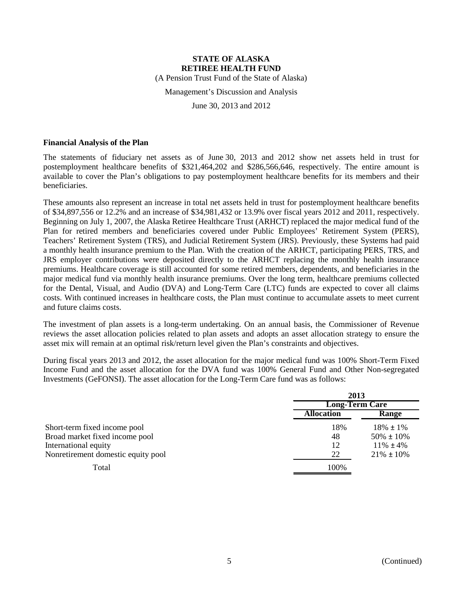(A Pension Trust Fund of the State of Alaska)

Management's Discussion and Analysis

June 30, 2013 and 2012

### **Financial Analysis of the Plan**

The statements of fiduciary net assets as of June 30, 2013 and 2012 show net assets held in trust for postemployment healthcare benefits of \$321,464,202 and \$286,566,646, respectively. The entire amount is available to cover the Plan's obligations to pay postemployment healthcare benefits for its members and their beneficiaries.

These amounts also represent an increase in total net assets held in trust for postemployment healthcare benefits of \$34,897,556 or 12.2% and an increase of \$34,981,432 or 13.9% over fiscal years 2012 and 2011, respectively. Beginning on July 1, 2007, the Alaska Retiree Healthcare Trust (ARHCT) replaced the major medical fund of the Plan for retired members and beneficiaries covered under Public Employees' Retirement System (PERS), Teachers' Retirement System (TRS), and Judicial Retirement System (JRS). Previously, these Systems had paid a monthly health insurance premium to the Plan. With the creation of the ARHCT, participating PERS, TRS, and JRS employer contributions were deposited directly to the ARHCT replacing the monthly health insurance premiums. Healthcare coverage is still accounted for some retired members, dependents, and beneficiaries in the major medical fund via monthly health insurance premiums. Over the long term, healthcare premiums collected for the Dental, Visual, and Audio (DVA) and Long-Term Care (LTC) funds are expected to cover all claims costs. With continued increases in healthcare costs, the Plan must continue to accumulate assets to meet current and future claims costs.

The investment of plan assets is a long-term undertaking. On an annual basis, the Commissioner of Revenue reviews the asset allocation policies related to plan assets and adopts an asset allocation strategy to ensure the asset mix will remain at an optimal risk/return level given the Plan's constraints and objectives.

During fiscal years 2013 and 2012, the asset allocation for the major medical fund was 100% Short-Term Fixed Income Fund and the asset allocation for the DVA fund was 100% General Fund and Other Non-segregated Investments (GeFONSI). The asset allocation for the Long-Term Care fund was as follows:

|                                    | 2013                  |                 |  |
|------------------------------------|-----------------------|-----------------|--|
|                                    | <b>Long-Term Care</b> |                 |  |
|                                    | <b>Allocation</b>     | Range           |  |
| Short-term fixed income pool       | 18%                   | $18\% \pm 1\%$  |  |
| Broad market fixed income pool     | 48                    | $50\% \pm 10\%$ |  |
| International equity               | 12                    | $11\% \pm 4\%$  |  |
| Nonretirement domestic equity pool | 22                    | $21\% \pm 10\%$ |  |
| Total                              | 100%                  |                 |  |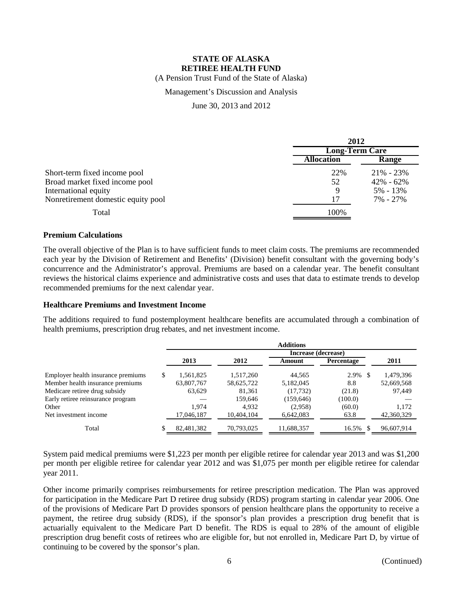(A Pension Trust Fund of the State of Alaska)

### Management's Discussion and Analysis

June 30, 2013 and 2012

|                                    | 2012                  |               |  |
|------------------------------------|-----------------------|---------------|--|
|                                    | <b>Long-Term Care</b> |               |  |
|                                    | <b>Allocation</b>     | Range         |  |
| Short-term fixed income pool       | 22%                   | $21\% - 23\%$ |  |
| Broad market fixed income pool     | 52                    | $42\% - 62\%$ |  |
| International equity               | 9                     | $5\% - 13\%$  |  |
| Nonretirement domestic equity pool | 17                    | 7% - 27%      |  |
| Total                              | 100%                  |               |  |

# **Premium Calculations**

The overall objective of the Plan is to have sufficient funds to meet claim costs. The premiums are recommended each year by the Division of Retirement and Benefits' (Division) benefit consultant with the governing body's concurrence and the Administrator's approval. Premiums are based on a calendar year. The benefit consultant reviews the historical claims experience and administrative costs and uses that data to estimate trends to develop recommended premiums for the next calendar year.

#### **Healthcare Premiums and Investment Income**

The additions required to fund postemployment healthcare benefits are accumulated through a combination of health premiums, prescription drug rebates, and net investment income.

|                                    | <b>Additions</b> |            |                     |                   |            |  |
|------------------------------------|------------------|------------|---------------------|-------------------|------------|--|
|                                    |                  |            | Increase (decrease) |                   |            |  |
|                                    | 2013             | 2012       | Amount              | <b>Percentage</b> | 2011       |  |
| Employer health insurance premiums | \$<br>1,561,825  | 1,517,260  | 44.565              | 2.9%              | 1,479,396  |  |
| Member health insurance premiums   | 63,807,767       | 58,625,722 | 5,182,045           | 8.8               | 52,669,568 |  |
| Medicare retiree drug subsidy      | 63,629           | 81.361     | (17, 732)           | (21.8)            | 97.449     |  |
| Early retiree reinsurance program  |                  | 159.646    | (159, 646)          | (100.0)           |            |  |
| Other                              | 1.974            | 4.932      | (2.958)             | (60.0)            | 1.172      |  |
| Net investment income              | 17,046,187       | 10,404,104 | 6,642,083           | 63.8              | 42,360,329 |  |
| Total                              | 82,481,382       | 70,793,025 | 11,688,357          | 16.5%             | 96,607,914 |  |

System paid medical premiums were \$1,223 per month per eligible retiree for calendar year 2013 and was \$1,200 per month per eligible retiree for calendar year 2012 and was \$1,075 per month per eligible retiree for calendar year 2011.

Other income primarily comprises reimbursements for retiree prescription medication. The Plan was approved for participation in the Medicare Part D retiree drug subsidy (RDS) program starting in calendar year 2006. One of the provisions of Medicare Part D provides sponsors of pension healthcare plans the opportunity to receive a payment, the retiree drug subsidy (RDS), if the sponsor's plan provides a prescription drug benefit that is actuarially equivalent to the Medicare Part D benefit. The RDS is equal to 28% of the amount of eligible prescription drug benefit costs of retirees who are eligible for, but not enrolled in, Medicare Part D, by virtue of continuing to be covered by the sponsor's plan.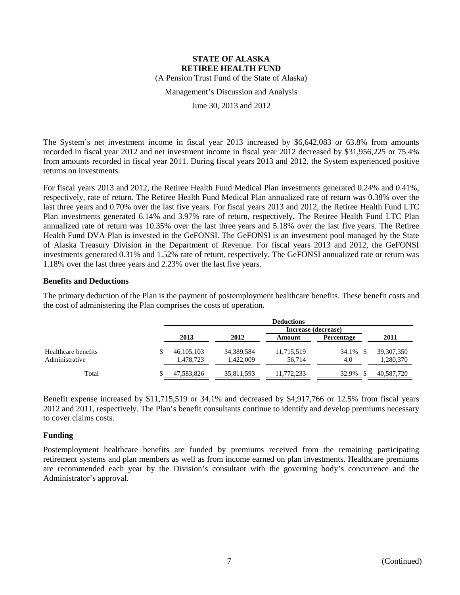(A Pension Trust Fund of the State of Alaska)

Management's Discussion and Analysis

June 30, 2013 and 2012

The System's net investment income in fiscal year 2013 increased by \$6,642,083 or 63.8% from amounts recorded in fiscal year 2012 and net investment income in fiscal year 2012 decreased by \$31,956,225 or 75.4% from amounts recorded in fiscal year 2011. During fiscal years 2013 and 2012, the System experienced positive returns on investments.

For fiscal years 2013 and 2012, the Retiree Health Fund Medical Plan investments generated 0.24% and 0.41%, respectively, rate of return. The Retiree Health Fund Medical Plan annualized rate of return was 0.38% over the last three years and 0.70% over the last five years. For fiscal years 2013 and 2012, the Retiree Health Fund LTC Plan investments generated 6.14% and 3.97% rate of return, respectively. The Retiree Health Fund LTC Plan annualized rate of return was 10.35% over the last three years and 5.18% over the last five years. The Retiree Health Fund DVA Plan is invested in the GeFONSI. The GeFONSI is an investment pool managed by the State of Alaska Treasury Division in the Department of Revenue. For fiscal years 2013 and 2012, the GeFONSI investments generated 0.31% and 1.52% rate of return, respectively. The GeFONSI annualized rate or return was 1.18% over the last three years and 2.23% over the last five years.

# **Benefits and Deductions**

The primary deduction of the Plan is the payment of postemployment healthcare benefits. These benefit costs and the cost of administering the Plan comprises the costs of operation.

|                                       | <b>Deductions</b>         |                         |                      |                   |                           |  |
|---------------------------------------|---------------------------|-------------------------|----------------------|-------------------|---------------------------|--|
|                                       |                           |                         | Increase (decrease)  |                   |                           |  |
|                                       | 2013                      | 2012                    | Amount               | <b>Percentage</b> | 2011                      |  |
| Healthcare benefits<br>Administrative | 46, 105, 103<br>1,478,723 | 34,389,584<br>1.422.009 | 11,715,519<br>56.714 | 34.1% \$<br>4.0   | 39, 307, 350<br>1,280,370 |  |
| Total                                 | 47,583,826                | 35,811,593              | 11,772,233           | 32.9%             | 40,587,720                |  |

Benefit expense increased by \$11,715,519 or 34.1% and decreased by \$4,917,766 or 12.5% from fiscal years 2012 and 2011, respectively. The Plan's benefit consultants continue to identify and develop premiums necessary to cover claims costs.

### **Funding**

Postemployment healthcare benefits are funded by premiums received from the remaining participating retirement systems and plan members as well as from income earned on plan investments. Healthcare premiums are recommended each year by the Division's consultant with the governing body's concurrence and the Administrator's approval.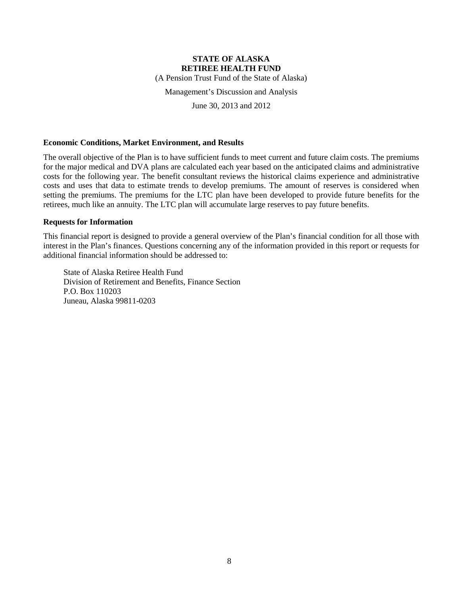(A Pension Trust Fund of the State of Alaska)

Management's Discussion and Analysis

June 30, 2013 and 2012

### **Economic Conditions, Market Environment, and Results**

The overall objective of the Plan is to have sufficient funds to meet current and future claim costs. The premiums for the major medical and DVA plans are calculated each year based on the anticipated claims and administrative costs for the following year. The benefit consultant reviews the historical claims experience and administrative costs and uses that data to estimate trends to develop premiums. The amount of reserves is considered when setting the premiums. The premiums for the LTC plan have been developed to provide future benefits for the retirees, much like an annuity. The LTC plan will accumulate large reserves to pay future benefits.

### **Requests for Information**

This financial report is designed to provide a general overview of the Plan's financial condition for all those with interest in the Plan's finances. Questions concerning any of the information provided in this report or requests for additional financial information should be addressed to:

State of Alaska Retiree Health Fund Division of Retirement and Benefits, Finance Section P.O. Box 110203 Juneau, Alaska 99811-0203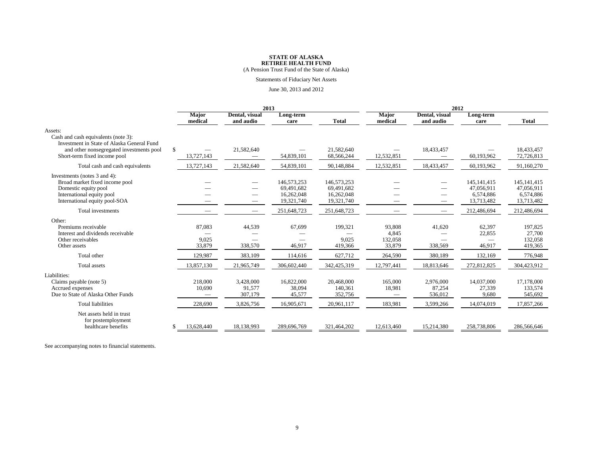(A Pension Trust Fund of the State of Alaska)

### Statements of Fiduciary Net Assets

#### June 30, 2013 and 2012

|                                                                                                                                                                          | 2013                       |                                |                                                       |                                                       | 2012                                 |                                                      |                                                        |                                                        |
|--------------------------------------------------------------------------------------------------------------------------------------------------------------------------|----------------------------|--------------------------------|-------------------------------------------------------|-------------------------------------------------------|--------------------------------------|------------------------------------------------------|--------------------------------------------------------|--------------------------------------------------------|
|                                                                                                                                                                          | <b>Major</b><br>medical    | Dental, visual<br>and audio    | Long-term<br>care                                     | <b>Total</b>                                          | <b>Major</b><br>medical              | Dental, visual<br>and audio                          | Long-term<br>care                                      | <b>Total</b>                                           |
| Assets:<br>Cash and cash equivalents (note 3):<br>Investment in State of Alaska General Fund<br>and other nonsegregated investments pool<br>Short-term fixed income pool | $\mathbb{S}$<br>13,727,143 | 21,582,640                     | 54,839,101                                            | 21,582,640<br>68,566,244                              | 12,532,851                           | 18,433,457                                           | 60,193,962                                             | 18.433.457<br>72,726,813                               |
| Total cash and cash equivalents                                                                                                                                          | 13,727,143                 | 21,582,640                     | 54,839,101                                            | 90,148,884                                            | 12,532,851                           | 18,433,457                                           | 60,193,962                                             | 91,160,270                                             |
| Investments (notes 3 and 4):<br>Broad market fixed income pool<br>Domestic equity pool<br>International equity pool<br>International equity pool-SOA                     | $\overline{\phantom{m}}$   |                                | 146,573,253<br>69,491,682<br>16,262,048<br>19,321,740 | 146,573,253<br>69.491.682<br>16,262,048<br>19,321,740 |                                      | $\overline{\phantom{0}}$<br>$\overline{\phantom{0}}$ | 145, 141, 415<br>47,056,911<br>6,574,886<br>13,713,482 | 145, 141, 415<br>47,056,911<br>6,574,886<br>13,713,482 |
| Total investments                                                                                                                                                        |                            |                                | 251,648,723                                           | 251,648,723                                           |                                      |                                                      | 212,486,694                                            | 212,486,694                                            |
| Other:<br>Premiums receivable<br>Interest and dividends receivable<br>Other receivables<br>Other assets                                                                  | 87,083<br>9,025<br>33,879  | 44,539<br>338,570              | 67,699<br>46,917                                      | 199,321<br>9,025<br>419.366                           | 93,808<br>4,845<br>132,058<br>33,879 | 41,620<br>338,569                                    | 62,397<br>22,855<br>46,917                             | 197.825<br>27,700<br>132,058<br>419.365                |
| Total other                                                                                                                                                              | 129,987                    | 383,109                        | 114,616                                               | 627,712                                               | 264,590                              | 380,189                                              | 132,169                                                | 776,948                                                |
| <b>Total</b> assets                                                                                                                                                      | 13,857,130                 | 21,965,749                     | 306,602,440                                           | 342,425,319                                           | 12,797,441                           | 18,813,646                                           | 272,812,825                                            | 304,423,912                                            |
| Liabilities:<br>Claims payable (note 5)<br>Accrued expenses<br>Due to State of Alaska Other Funds                                                                        | 218,000<br>10,690          | 3,428,000<br>91,577<br>307,179 | 16,822,000<br>38,094<br>45,577                        | 20,468,000<br>140,361<br>352,756                      | 165,000<br>18,981                    | 2,976,000<br>87,254<br>536,012                       | 14,037,000<br>27,339<br>9,680                          | 17,178,000<br>133,574<br>545,692                       |
| <b>Total liabilities</b>                                                                                                                                                 | 228,690                    | 3,826,756                      | 16,905,671                                            | 20,961,117                                            | 183,981                              | 3,599,266                                            | 14,074,019                                             | 17,857,266                                             |
| Net assets held in trust<br>for postemployment<br>healthcare benefits                                                                                                    | 13,628,440                 | 18,138,993                     | 289,696,769                                           | 321,464,202                                           | 12,613,460                           | 15,214,380                                           | 258,738,806                                            | 286,566,646                                            |

See accompanying notes to financial statements.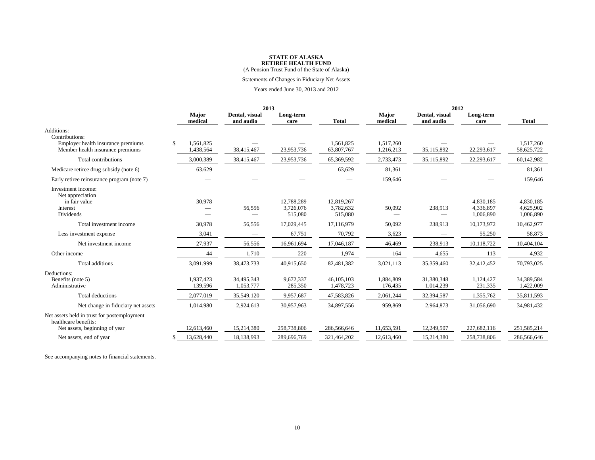(A Pension Trust Fund of the State of Alaska)

#### Statements of Changes in Fiduciary Net Assets

#### Years ended June 30, 2013 and 2012

|                                                                        | 2013 |                         |                             |                                    | 2012                               |                                    |                             |                                     |                                     |
|------------------------------------------------------------------------|------|-------------------------|-----------------------------|------------------------------------|------------------------------------|------------------------------------|-----------------------------|-------------------------------------|-------------------------------------|
|                                                                        |      | <b>Major</b><br>medical | Dental, visual<br>and audio | Long-term<br>care                  | <b>Total</b>                       | <b>Major</b><br>medical            | Dental, visual<br>and audio | Long-term<br>care                   | <b>Total</b>                        |
| Additions:<br>Contributions:                                           |      |                         |                             |                                    |                                    |                                    |                             |                                     |                                     |
| Employer health insurance premiums<br>Member health insurance premiums | \$.  | 1,561,825<br>1,438,564  | 38,415,467                  | 23,953,736                         | 1,561,825<br>63,807,767            | 1,517,260<br>1,216,213             | 35,115,892                  | 22,293,617                          | 1.517.260<br>58,625,722             |
| Total contributions                                                    |      | 3,000,389               | 38,415,467                  | 23,953,736                         | 65,369,592                         | 2,733,473                          | 35,115,892                  | 22,293,617                          | 60,142,982                          |
| Medicare retiree drug subsidy (note 6)                                 |      | 63,629                  |                             |                                    | 63,629                             | 81,361                             |                             |                                     | 81,361                              |
| Early retiree reinsurance program (note 7)                             |      |                         |                             |                                    |                                    | 159,646                            |                             |                                     | 159,646                             |
| Investment income:<br>Net appreciation                                 |      |                         |                             |                                    |                                    |                                    |                             |                                     |                                     |
| in fair value<br>Interest<br>Dividends                                 |      | 30,978                  | 56,556                      | 12,788,289<br>3,726,076<br>515,080 | 12,819,267<br>3,782,632<br>515,080 | 50,092<br>$\overline{\phantom{0}}$ | 238,913                     | 4,830,185<br>4,336,897<br>1.006.890 | 4,830,185<br>4.625.902<br>1.006.890 |
| Total investment income                                                |      | 30,978                  | 56,556                      | 17,029,445                         | 17,116,979                         | 50,092                             | 238,913                     | 10,173,972                          | 10,462,977                          |
| Less investment expense                                                |      | 3,041                   | $\overline{\phantom{m}}$    | 67,751                             | 70,792                             | 3,623                              |                             | 55,250                              | 58,873                              |
| Net investment income                                                  |      | 27,937                  | 56,556                      | 16,961,694                         | 17,046,187                         | 46,469                             | 238,913                     | 10,118,722                          | 10,404,104                          |
| Other income                                                           |      | 44                      | 1,710                       | 220                                | 1,974                              | 164                                | 4.655                       | 113                                 | 4,932                               |
| <b>Total additions</b>                                                 |      | 3,091,999               | 38,473,733                  | 40,915,650                         | 82,481,382                         | 3,021,113                          | 35,359,460                  | 32,412,452                          | 70,793,025                          |
| Deductions:<br>Benefits (note 5)<br>Administrative                     |      | 1,937,423<br>139,596    | 34,495,343<br>1,053,777     | 9,672,337<br>285,350               | 46, 105, 103<br>1,478,723          | 1,884,809<br>176,435               | 31,380,348<br>1,014,239     | 1,124,427<br>231,335                | 34.389.584<br>1,422,009             |
| Total deductions                                                       |      | 2,077,019               | 35,549,120                  | 9,957,687                          | 47,583,826                         | 2,061,244                          | 32,394,587                  | 1,355,762                           | 35,811,593                          |
| Net change in fiduciary net assets                                     |      | 1,014,980               | 2,924,613                   | 30,957,963                         | 34,897,556                         | 959,869                            | 2,964,873                   | 31,056,690                          | 34,981,432                          |
| Net assets held in trust for postemployment<br>healthcare benefits:    |      |                         |                             |                                    |                                    |                                    |                             |                                     |                                     |
| Net assets, beginning of year                                          |      | 12,613,460              | 15,214,380                  | 258,738,806                        | 286,566,646                        | 11,653,591                         | 12,249,507                  | 227,682,116                         | 251,585,214                         |
| Net assets, end of year                                                |      | 13,628,440              | 18,138,993                  | 289,696,769                        | 321,464,202                        | 12,613,460                         | 15,214,380                  | 258,738,806                         | 286,566,646                         |

See accompanying notes to financial statements.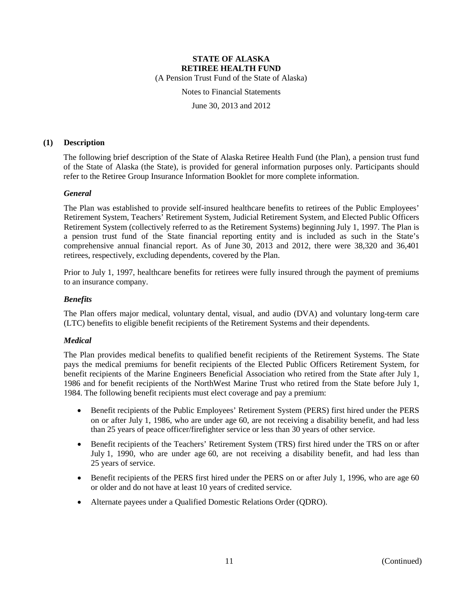(A Pension Trust Fund of the State of Alaska)

Notes to Financial Statements

June 30, 2013 and 2012

# **(1) Description**

The following brief description of the State of Alaska Retiree Health Fund (the Plan), a pension trust fund of the State of Alaska (the State), is provided for general information purposes only. Participants should refer to the Retiree Group Insurance Information Booklet for more complete information.

# *General*

The Plan was established to provide self-insured healthcare benefits to retirees of the Public Employees' Retirement System, Teachers' Retirement System, Judicial Retirement System, and Elected Public Officers Retirement System (collectively referred to as the Retirement Systems) beginning July 1, 1997. The Plan is a pension trust fund of the State financial reporting entity and is included as such in the State's comprehensive annual financial report. As of June 30, 2013 and 2012, there were 38,320 and 36,401 retirees, respectively, excluding dependents, covered by the Plan.

Prior to July 1, 1997, healthcare benefits for retirees were fully insured through the payment of premiums to an insurance company.

# *Benefits*

The Plan offers major medical, voluntary dental, visual, and audio (DVA) and voluntary long-term care (LTC) benefits to eligible benefit recipients of the Retirement Systems and their dependents.

# *Medical*

The Plan provides medical benefits to qualified benefit recipients of the Retirement Systems. The State pays the medical premiums for benefit recipients of the Elected Public Officers Retirement System, for benefit recipients of the Marine Engineers Beneficial Association who retired from the State after July 1, 1986 and for benefit recipients of the NorthWest Marine Trust who retired from the State before July 1, 1984. The following benefit recipients must elect coverage and pay a premium:

- Benefit recipients of the Public Employees' Retirement System (PERS) first hired under the PERS on or after July 1, 1986, who are under age 60, are not receiving a disability benefit, and had less than 25 years of peace officer/firefighter service or less than 30 years of other service.
- Benefit recipients of the Teachers' Retirement System (TRS) first hired under the TRS on or after July 1, 1990, who are under age 60, are not receiving a disability benefit, and had less than 25 years of service.
- Benefit recipients of the PERS first hired under the PERS on or after July 1, 1996, who are age 60 or older and do not have at least 10 years of credited service.
- Alternate payees under a Qualified Domestic Relations Order (QDRO).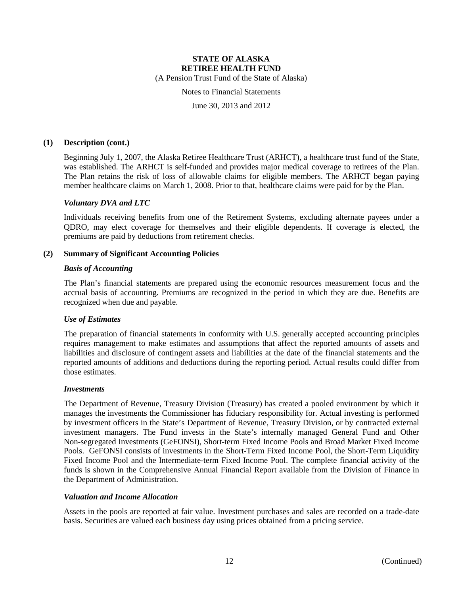(A Pension Trust Fund of the State of Alaska)

Notes to Financial Statements

June 30, 2013 and 2012

### **(1) Description (cont.)**

Beginning July 1, 2007, the Alaska Retiree Healthcare Trust (ARHCT), a healthcare trust fund of the State, was established. The ARHCT is self-funded and provides major medical coverage to retirees of the Plan. The Plan retains the risk of loss of allowable claims for eligible members. The ARHCT began paying member healthcare claims on March 1, 2008. Prior to that, healthcare claims were paid for by the Plan.

### *Voluntary DVA and LTC*

Individuals receiving benefits from one of the Retirement Systems, excluding alternate payees under a QDRO, may elect coverage for themselves and their eligible dependents. If coverage is elected, the premiums are paid by deductions from retirement checks.

### **(2) Summary of Significant Accounting Policies**

### *Basis of Accounting*

The Plan's financial statements are prepared using the economic resources measurement focus and the accrual basis of accounting. Premiums are recognized in the period in which they are due. Benefits are recognized when due and payable.

### *Use of Estimates*

The preparation of financial statements in conformity with U.S. generally accepted accounting principles requires management to make estimates and assumptions that affect the reported amounts of assets and liabilities and disclosure of contingent assets and liabilities at the date of the financial statements and the reported amounts of additions and deductions during the reporting period. Actual results could differ from those estimates.

#### *Investments*

The Department of Revenue, Treasury Division (Treasury) has created a pooled environment by which it manages the investments the Commissioner has fiduciary responsibility for. Actual investing is performed by investment officers in the State's Department of Revenue, Treasury Division, or by contracted external investment managers. The Fund invests in the State's internally managed General Fund and Other Non-segregated Investments (GeFONSI), Short-term Fixed Income Pools and Broad Market Fixed Income Pools. GeFONSI consists of investments in the Short-Term Fixed Income Pool, the Short-Term Liquidity Fixed Income Pool and the Intermediate-term Fixed Income Pool. The complete financial activity of the funds is shown in the Comprehensive Annual Financial Report available from the Division of Finance in the Department of Administration.

### *Valuation and Income Allocation*

Assets in the pools are reported at fair value. Investment purchases and sales are recorded on a trade-date basis. Securities are valued each business day using prices obtained from a pricing service.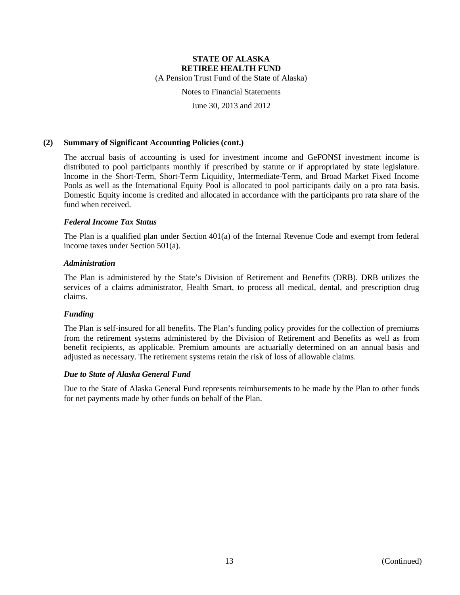(A Pension Trust Fund of the State of Alaska)

Notes to Financial Statements

June 30, 2013 and 2012

### **(2) Summary of Significant Accounting Policies (cont.)**

The accrual basis of accounting is used for investment income and GeFONSI investment income is distributed to pool participants monthly if prescribed by statute or if appropriated by state legislature. Income in the Short-Term, Short-Term Liquidity, Intermediate-Term, and Broad Market Fixed Income Pools as well as the International Equity Pool is allocated to pool participants daily on a pro rata basis. Domestic Equity income is credited and allocated in accordance with the participants pro rata share of the fund when received.

# *Federal Income Tax Status*

The Plan is a qualified plan under Section 401(a) of the Internal Revenue Code and exempt from federal income taxes under Section 501(a).

### *Administration*

The Plan is administered by the State's Division of Retirement and Benefits (DRB). DRB utilizes the services of a claims administrator, Health Smart, to process all medical, dental, and prescription drug claims.

# *Funding*

The Plan is self-insured for all benefits. The Plan's funding policy provides for the collection of premiums from the retirement systems administered by the Division of Retirement and Benefits as well as from benefit recipients, as applicable. Premium amounts are actuarially determined on an annual basis and adjusted as necessary. The retirement systems retain the risk of loss of allowable claims.

### *Due to State of Alaska General Fund*

Due to the State of Alaska General Fund represents reimbursements to be made by the Plan to other funds for net payments made by other funds on behalf of the Plan.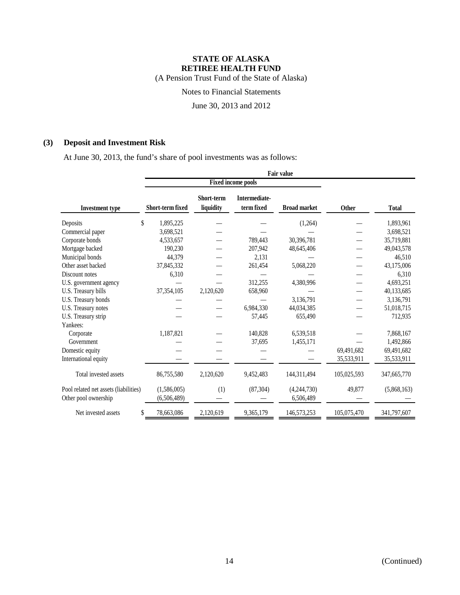(A Pension Trust Fund of the State of Alaska)

Notes to Financial Statements

June 30, 2013 and 2012

# **(3) Deposit and Investment Risk**

At June 30, 2013, the fund's share of pool investments was as follows:

|                                                               | <b>Fair value</b>          |                                |                                    |                          |             |              |  |  |
|---------------------------------------------------------------|----------------------------|--------------------------------|------------------------------------|--------------------------|-------------|--------------|--|--|
|                                                               |                            | <b>Fixed income pools</b>      |                                    |                          |             |              |  |  |
| <b>Investment type</b>                                        | Short-term fixed           | <b>Short-term</b><br>liquidity | <b>Intermediate-</b><br>term fixed | <b>Broad market</b>      | Other       | <b>Total</b> |  |  |
| \$<br>Deposits                                                | 1,895,225                  |                                |                                    | (1,264)                  |             | 1,893,961    |  |  |
| Commercial paper                                              | 3,698,521                  |                                |                                    |                          |             | 3,698,521    |  |  |
| Corporate bonds                                               | 4,533,657                  |                                | 789,443                            | 30,396,781               |             | 35,719,881   |  |  |
| Mortgage backed                                               | 190,230                    |                                | 207,942                            | 48,645,406               |             | 49,043,578   |  |  |
| Municipal bonds                                               | 44,379                     |                                | 2,131                              |                          |             | 46,510       |  |  |
| Other asset backed                                            | 37,845,332                 |                                | 261,454                            | 5,068,220                |             | 43,175,006   |  |  |
| Discount notes                                                | 6,310                      |                                |                                    |                          |             | 6,310        |  |  |
| U.S. government agency                                        |                            |                                | 312,255                            | 4,380,996                |             | 4,693,251    |  |  |
| U.S. Treasury bills                                           | 37,354,105                 | 2,120,620                      | 658,960                            |                          |             | 40,133,685   |  |  |
| U.S. Treasury bonds                                           |                            |                                |                                    | 3,136,791                |             | 3,136,791    |  |  |
| U.S. Treasury notes                                           |                            |                                | 6,984,330                          | 44.034.385               |             | 51,018,715   |  |  |
| U.S. Treasury strip                                           |                            |                                | 57,445                             | 655,490                  |             | 712,935      |  |  |
| Yankees:                                                      |                            |                                |                                    |                          |             |              |  |  |
| Corporate                                                     | 1,187,821                  |                                | 140,828                            | 6,539,518                |             | 7,868,167    |  |  |
| Government                                                    |                            |                                | 37,695                             | 1,455,171                |             | 1,492,866    |  |  |
| Domestic equity                                               |                            |                                |                                    |                          | 69,491,682  | 69,491,682   |  |  |
| International equity                                          |                            |                                |                                    |                          | 35,533,911  | 35,533,911   |  |  |
| Total invested assets                                         | 86,755,580                 | 2,120,620                      | 9,452,483                          | 144,311,494              | 105,025,593 | 347,665,770  |  |  |
| Pool related net assets (liabilities)<br>Other pool ownership | (1,586,005)<br>(6,506,489) | (1)                            | (87, 304)                          | (4,244,730)<br>6,506,489 | 49,877      | (5,868,163)  |  |  |
| Net invested assets<br>\$                                     | 78,663,086                 | 2,120,619                      | 9,365,179                          | 146,573,253              | 105,075,470 | 341,797,607  |  |  |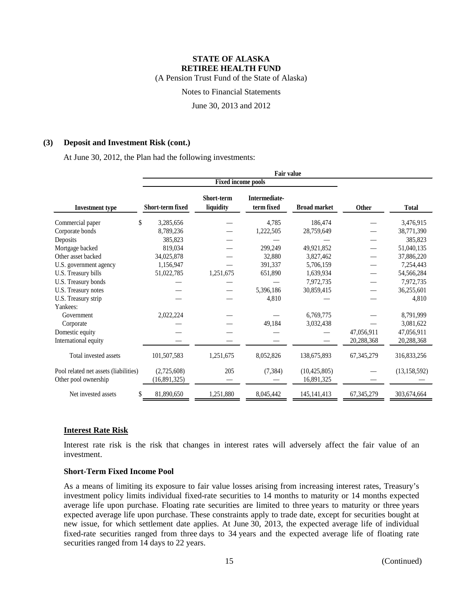(A Pension Trust Fund of the State of Alaska)

Notes to Financial Statements

June 30, 2013 and 2012

### **(3) Deposit and Investment Risk (cont.)**

At June 30, 2012, the Plan had the following investments:

| <b>Investment type</b>                                        | Short-term fixed            | Short-term<br>liquidity | <b>Intermediate-</b><br>term fixed | <b>Broad market</b>          | <b>Other</b> | <b>Total</b>   |
|---------------------------------------------------------------|-----------------------------|-------------------------|------------------------------------|------------------------------|--------------|----------------|
| \$<br>Commercial paper                                        | 3,285,656                   |                         | 4,785                              | 186,474                      |              | 3,476,915      |
| Corporate bonds                                               | 8,789,236                   |                         | 1,222,505                          | 28,759,649                   |              | 38,771,390     |
| Deposits                                                      | 385,823                     |                         |                                    |                              |              | 385,823        |
| Mortgage backed                                               | 819,034                     |                         | 299,249                            | 49,921,852                   |              | 51,040,135     |
| Other asset backed                                            | 34,025,878                  |                         | 32,880                             | 3,827,462                    |              | 37,886,220     |
| U.S. government agency                                        | 1,156,947                   |                         | 391,337                            | 5,706,159                    |              | 7,254,443      |
| U.S. Treasury bills                                           | 51,022,785                  | 1,251,675               | 651,890                            | 1,639,934                    |              | 54,566,284     |
| U.S. Treasury bonds                                           |                             |                         |                                    | 7,972,735                    |              | 7,972,735      |
| U.S. Treasury notes                                           |                             |                         | 5,396,186                          | 30,859,415                   |              | 36,255,601     |
| U.S. Treasury strip                                           |                             |                         | 4,810                              |                              |              | 4,810          |
| Yankees:                                                      |                             |                         |                                    |                              |              |                |
| Government                                                    | 2,022,224                   |                         |                                    | 6,769,775                    |              | 8,791,999      |
| Corporate                                                     |                             |                         | 49,184                             | 3,032,438                    |              | 3,081,622      |
| Domestic equity                                               |                             |                         |                                    |                              | 47,056,911   | 47,056,911     |
| International equity                                          |                             |                         |                                    |                              | 20,288,368   | 20,288,368     |
| Total invested assets                                         | 101,507,583                 | 1,251,675               | 8,052,826                          | 138,675,893                  | 67, 345, 279 | 316,833,256    |
| Pool related net assets (liabilities)<br>Other pool ownership | (2,725,608)<br>(16,891,325) | 205                     | (7, 384)                           | (10, 425, 805)<br>16,891,325 |              | (13, 158, 592) |
| Net invested assets                                           | 81,890,650                  | 1,251,880               | 8,045,442                          | 145, 141, 413                | 67, 345, 279 | 303,674,664    |

# **Interest Rate Risk**

Interest rate risk is the risk that changes in interest rates will adversely affect the fair value of an investment.

### **Short-Term Fixed Income Pool**

As a means of limiting its exposure to fair value losses arising from increasing interest rates, Treasury's investment policy limits individual fixed-rate securities to 14 months to maturity or 14 months expected average life upon purchase. Floating rate securities are limited to three years to maturity or three years expected average life upon purchase. These constraints apply to trade date, except for securities bought at new issue, for which settlement date applies. At June 30, 2013, the expected average life of individual fixed-rate securities ranged from three days to 34 years and the expected average life of floating rate securities ranged from 14 days to 22 years.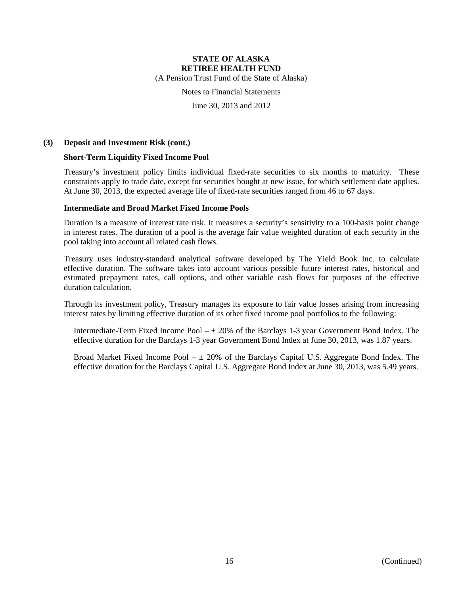(A Pension Trust Fund of the State of Alaska)

Notes to Financial Statements

June 30, 2013 and 2012

### **(3) Deposit and Investment Risk (cont.)**

# **Short-Term Liquidity Fixed Income Pool**

Treasury's investment policy limits individual fixed-rate securities to six months to maturity. These constraints apply to trade date, except for securities bought at new issue, for which settlement date applies. At June 30, 2013, the expected average life of fixed-rate securities ranged from 46 to 67 days.

### **Intermediate and Broad Market Fixed Income Pools**

Duration is a measure of interest rate risk. It measures a security's sensitivity to a 100-basis point change in interest rates. The duration of a pool is the average fair value weighted duration of each security in the pool taking into account all related cash flows.

Treasury uses industry-standard analytical software developed by The Yield Book Inc. to calculate effective duration. The software takes into account various possible future interest rates, historical and estimated prepayment rates, call options, and other variable cash flows for purposes of the effective duration calculation.

Through its investment policy, Treasury manages its exposure to fair value losses arising from increasing interest rates by limiting effective duration of its other fixed income pool portfolios to the following:

Intermediate-Term Fixed Income Pool  $-\pm 20\%$  of the Barclays 1-3 year Government Bond Index. The effective duration for the Barclays 1-3 year Government Bond Index at June 30, 2013, was 1.87 years.

Broad Market Fixed Income Pool  $- \pm 20\%$  of the Barclays Capital U.S. Aggregate Bond Index. The effective duration for the Barclays Capital U.S. Aggregate Bond Index at June 30, 2013, was 5.49 years.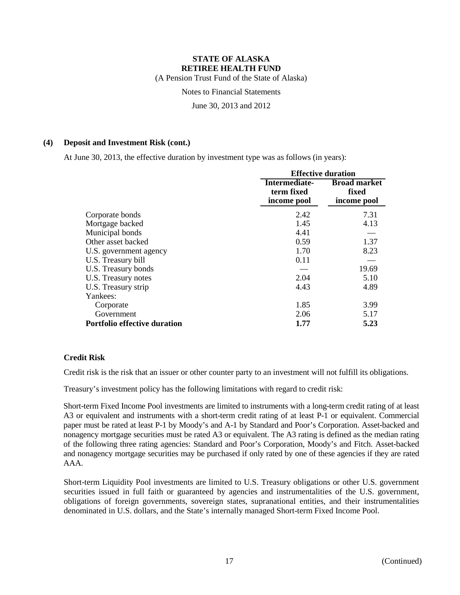(A Pension Trust Fund of the State of Alaska)

Notes to Financial Statements

June 30, 2013 and 2012

### **(4) Deposit and Investment Risk (cont.)**

At June 30, 2013, the effective duration by investment type was as follows (in years):

|                                     |                                            | <b>Effective duration</b>                   |  |  |
|-------------------------------------|--------------------------------------------|---------------------------------------------|--|--|
|                                     | Intermediate-<br>term fixed<br>income pool | <b>Broad market</b><br>fixed<br>income pool |  |  |
| Corporate bonds                     | 2.42                                       | 7.31                                        |  |  |
| Mortgage backed                     | 1.45                                       | 4.13                                        |  |  |
| Municipal bonds                     | 4.41                                       |                                             |  |  |
| Other asset backed                  | 0.59                                       | 1.37                                        |  |  |
| U.S. government agency              | 1.70                                       | 8.23                                        |  |  |
| U.S. Treasury bill                  | 0.11                                       |                                             |  |  |
| U.S. Treasury bonds                 |                                            | 19.69                                       |  |  |
| U.S. Treasury notes                 | 2.04                                       | 5.10                                        |  |  |
| U.S. Treasury strip                 | 4.43                                       | 4.89                                        |  |  |
| Yankees:                            |                                            |                                             |  |  |
| Corporate                           | 1.85                                       | 3.99                                        |  |  |
| Government                          | 2.06                                       | 5.17                                        |  |  |
| <b>Portfolio effective duration</b> | 1.77                                       | 5.23                                        |  |  |

# **Credit Risk**

Credit risk is the risk that an issuer or other counter party to an investment will not fulfill its obligations.

Treasury's investment policy has the following limitations with regard to credit risk:

Short-term Fixed Income Pool investments are limited to instruments with a long-term credit rating of at least A3 or equivalent and instruments with a short-term credit rating of at least P-1 or equivalent. Commercial paper must be rated at least P-1 by Moody's and A-1 by Standard and Poor's Corporation. Asset-backed and nonagency mortgage securities must be rated A3 or equivalent. The A3 rating is defined as the median rating of the following three rating agencies: Standard and Poor's Corporation, Moody's and Fitch. Asset-backed and nonagency mortgage securities may be purchased if only rated by one of these agencies if they are rated AAA.

Short-term Liquidity Pool investments are limited to U.S. Treasury obligations or other U.S. government securities issued in full faith or guaranteed by agencies and instrumentalities of the U.S. government, obligations of foreign governments, sovereign states, supranational entities, and their instrumentalities denominated in U.S. dollars, and the State's internally managed Short-term Fixed Income Pool.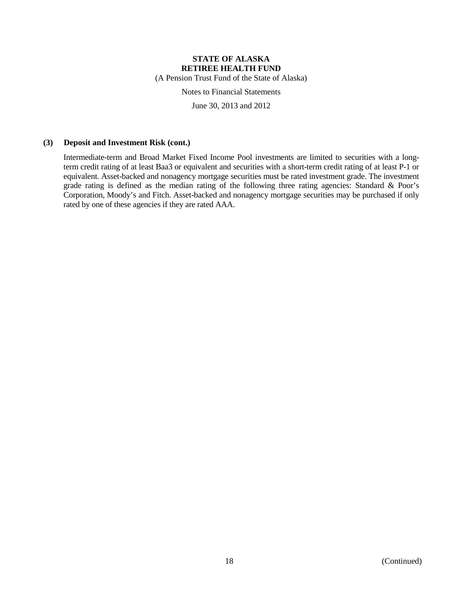(A Pension Trust Fund of the State of Alaska)

Notes to Financial Statements

June 30, 2013 and 2012

### **(3) Deposit and Investment Risk (cont.)**

Intermediate-term and Broad Market Fixed Income Pool investments are limited to securities with a longterm credit rating of at least Baa3 or equivalent and securities with a short-term credit rating of at least P-1 or equivalent. Asset-backed and nonagency mortgage securities must be rated investment grade. The investment grade rating is defined as the median rating of the following three rating agencies: Standard & Poor's Corporation, Moody's and Fitch. Asset-backed and nonagency mortgage securities may be purchased if only rated by one of these agencies if they are rated AAA.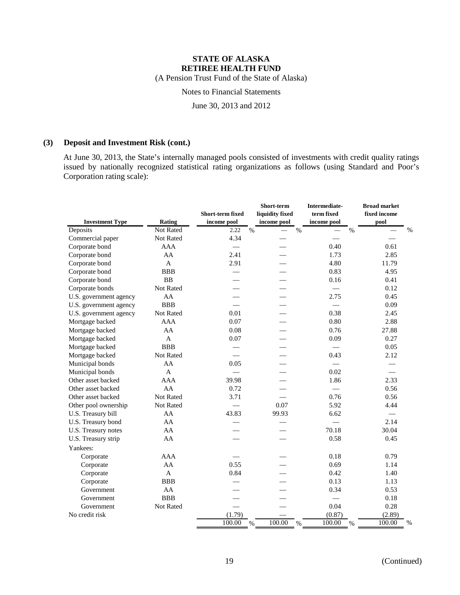(A Pension Trust Fund of the State of Alaska)

# Notes to Financial Statements

June 30, 2013 and 2012

# **(3) Deposit and Investment Risk (cont.)**

At June 30, 2013, the State's internally managed pools consisted of investments with credit quality ratings issued by nationally recognized statistical rating organizations as follows (using Standard and Poor's Corporation rating scale):

|                        |                  | Short-term fixed |      | Short-term<br>liquidity fixed |      | Intermediate-<br>term fixed |      | <b>Broad market</b><br>fixed income |      |
|------------------------|------------------|------------------|------|-------------------------------|------|-----------------------------|------|-------------------------------------|------|
| <b>Investment Type</b> | Rating           | income pool      |      | income pool                   |      | income pool                 |      | pool                                |      |
| Deposits               | Not Rated        | 2.22             | $\%$ |                               | $\%$ |                             | $\%$ |                                     | $\%$ |
| Commercial paper       | <b>Not Rated</b> | 4.34             |      |                               |      |                             |      |                                     |      |
| Corporate bond         | <b>AAA</b>       |                  |      |                               |      | 0.40                        |      | 0.61                                |      |
| Corporate bond         | AA               | 2.41             |      |                               |      | 1.73                        |      | 2.85                                |      |
| Corporate bond         | $\mathbf{A}$     | 2.91             |      |                               |      | 4.80                        |      | 11.79                               |      |
| Corporate bond         | <b>BBB</b>       |                  |      |                               |      | 0.83                        |      | 4.95                                |      |
| Corporate bond         | <b>BB</b>        |                  |      |                               |      | 0.16                        |      | 0.41                                |      |
| Corporate bonds        | Not Rated        |                  |      |                               |      |                             |      | 0.12                                |      |
| U.S. government agency | AA               |                  |      |                               |      | 2.75                        |      | 0.45                                |      |
| U.S. government agency | <b>BBB</b>       |                  |      |                               |      | $\frac{1}{2}$               |      | 0.09                                |      |
| U.S. government agency | Not Rated        | 0.01             |      |                               |      | 0.38                        |      | 2.45                                |      |
| Mortgage backed        | <b>AAA</b>       | 0.07             |      |                               |      | 0.80                        |      | 2.88                                |      |
| Mortgage backed        | AA               | 0.08             |      |                               |      | 0.76                        |      | 27.88                               |      |
| Mortgage backed        | $\mathbf{A}$     | 0.07             |      |                               |      | 0.09                        |      | 0.27                                |      |
| Mortgage backed        | <b>BBB</b>       |                  |      |                               |      |                             |      | 0.05                                |      |
| Mortgage backed        | Not Rated        |                  |      |                               |      | 0.43                        |      | 2.12                                |      |
| Municipal bonds        | AA               | 0.05             |      |                               |      |                             |      |                                     |      |
| Municipal bonds        | $\mathbf{A}$     |                  |      |                               |      | 0.02                        |      |                                     |      |
| Other asset backed     | <b>AAA</b>       | 39.98            |      |                               |      | 1.86                        |      | 2.33                                |      |
| Other asset backed     | AA               | 0.72             |      |                               |      | $\equiv$                    |      | 0.56                                |      |
| Other asset backed     | Not Rated        | 3.71             |      |                               |      | 0.76                        |      | 0.56                                |      |
| Other pool ownership   | Not Rated        |                  |      | 0.07                          |      | 5.92                        |      | 4.44                                |      |
| U.S. Treasury bill     | AA               | 43.83            |      | 99.93                         |      | 6.62                        |      | $\frac{1}{2}$                       |      |
| U.S. Treasury bond     | AA               |                  |      |                               |      |                             |      | 2.14                                |      |
| U.S. Treasury notes    | AA               |                  |      |                               |      | 70.18                       |      | 30.04                               |      |
| U.S. Treasury strip    | AA               |                  |      |                               |      | 0.58                        |      | 0.45                                |      |
| Yankees:               |                  |                  |      |                               |      |                             |      |                                     |      |
| Corporate              | <b>AAA</b>       |                  |      |                               |      | 0.18                        |      | 0.79                                |      |
| Corporate              | AA               | 0.55             |      |                               |      | 0.69                        |      | 1.14                                |      |
| Corporate              | $\mathbf{A}$     | 0.84             |      |                               |      | 0.42                        |      | 1.40                                |      |
| Corporate              | <b>BBB</b>       |                  |      |                               |      | 0.13                        |      | 1.13                                |      |
| Government             | AA               |                  |      |                               |      | 0.34                        |      | 0.53                                |      |
| Government             | <b>BBB</b>       |                  |      |                               |      |                             |      | 0.18                                |      |
| Government             | Not Rated        |                  |      |                               |      | 0.04                        |      | 0.28                                |      |
| No credit risk         |                  | (1.79)           |      |                               |      | (0.87)                      |      | (2.89)                              |      |
|                        |                  | 100.00           | $\%$ | 100.00                        | $\%$ | 100.00                      | $\%$ | 100.00                              | $\%$ |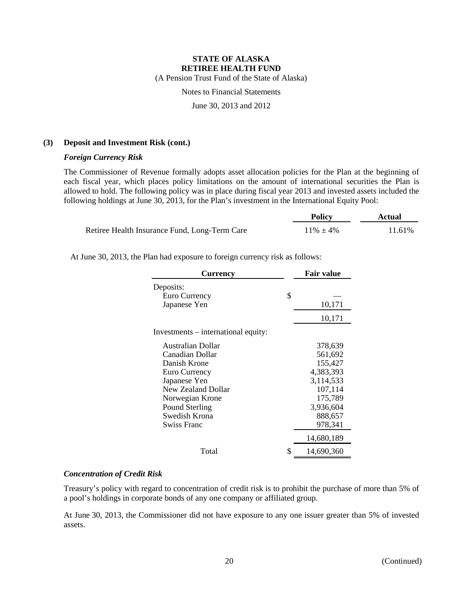(A Pension Trust Fund of the State of Alaska)

# Notes to Financial Statements

June 30, 2013 and 2012

### **(3) Deposit and Investment Risk (cont.)**

### *Foreign Currency Risk*

The Commissioner of Revenue formally adopts asset allocation policies for the Plan at the beginning of each fiscal year, which places policy limitations on the amount of international securities the Plan is allowed to hold. The following policy was in place during fiscal year 2013 and invested assets included the following holdings at June 30, 2013, for the Plan's investment in the International Equity Pool:

|                                               | <b>Policy</b>  | Actual |  |
|-----------------------------------------------|----------------|--------|--|
| Retiree Health Insurance Fund, Long-Term Care | $11\% \pm 4\%$ | 11.61% |  |

At June 30, 2013, the Plan had exposure to foreign currency risk as follows:

| <b>Currency</b>                     |    | <b>Fair value</b> |  |  |
|-------------------------------------|----|-------------------|--|--|
| Deposits:                           |    |                   |  |  |
| Euro Currency                       | \$ |                   |  |  |
| Japanese Yen                        |    | 10,171            |  |  |
|                                     |    | 10,171            |  |  |
| Investments – international equity: |    |                   |  |  |
| <b>Australian Dollar</b>            |    | 378,639           |  |  |
| Canadian Dollar                     |    | 561,692           |  |  |
| Danish Krone                        |    | 155,427           |  |  |
| Euro Currency                       |    | 4,383,393         |  |  |
| Japanese Yen                        |    | 3,114,533         |  |  |
| New Zealand Dollar                  |    | 107,114           |  |  |
| Norwegian Krone                     |    | 175,789           |  |  |
| Pound Sterling                      |    | 3,936,604         |  |  |
| Swedish Krona                       |    | 888,657           |  |  |
| Swiss Franc                         |    | 978,341           |  |  |
|                                     |    | 14,680,189        |  |  |
| Total                               | \$ | 14,690,360        |  |  |

#### *Concentration of Credit Risk*

Treasury's policy with regard to concentration of credit risk is to prohibit the purchase of more than 5% of a pool's holdings in corporate bonds of any one company or affiliated group.

At June 30, 2013, the Commissioner did not have exposure to any one issuer greater than 5% of invested assets.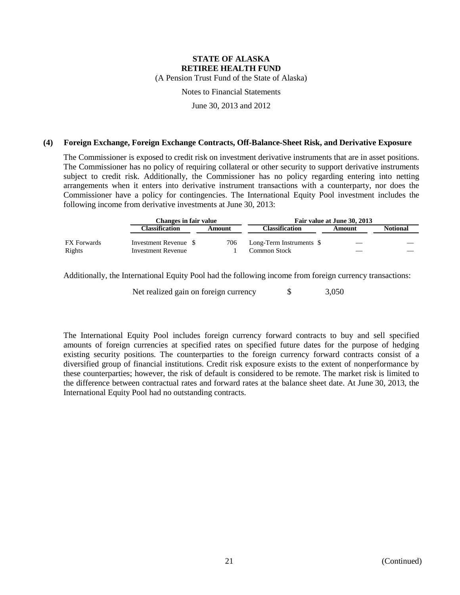(A Pension Trust Fund of the State of Alaska)

Notes to Financial Statements

June 30, 2013 and 2012

### **(4) Foreign Exchange, Foreign Exchange Contracts, Off-Balance-Sheet Risk, and Derivative Exposure**

The Commissioner is exposed to credit risk on investment derivative instruments that are in asset positions. The Commissioner has no policy of requiring collateral or other security to support derivative instruments subject to credit risk. Additionally, the Commissioner has no policy regarding entering into netting arrangements when it enters into derivative instrument transactions with a counterparty, nor does the Commissioner have a policy for contingencies. The International Equity Pool investment includes the following income from derivative investments at June 30, 2013:

|                              |                                                    | Changes in fair value |                                            | Fair value at June 30, 2013 |                 |  |  |  |
|------------------------------|----------------------------------------------------|-----------------------|--------------------------------------------|-----------------------------|-----------------|--|--|--|
|                              | Classification                                     | Amount                | Classification                             | Amount                      | <b>Notional</b> |  |  |  |
| <b>FX</b> Forwards<br>Rights | Investment Revenue \$<br><b>Investment Revenue</b> | 706                   | Long-Term Instruments \$<br>Common Stock - | $\overline{\phantom{a}}$    |                 |  |  |  |

Additionally, the International Equity Pool had the following income from foreign currency transactions:

Net realized gain on foreign currency  $\qquad$  \$ 3,050

The International Equity Pool includes foreign currency forward contracts to buy and sell specified amounts of foreign currencies at specified rates on specified future dates for the purpose of hedging existing security positions. The counterparties to the foreign currency forward contracts consist of a diversified group of financial institutions. Credit risk exposure exists to the extent of nonperformance by these counterparties; however, the risk of default is considered to be remote. The market risk is limited to the difference between contractual rates and forward rates at the balance sheet date. At June 30, 2013, the International Equity Pool had no outstanding contracts.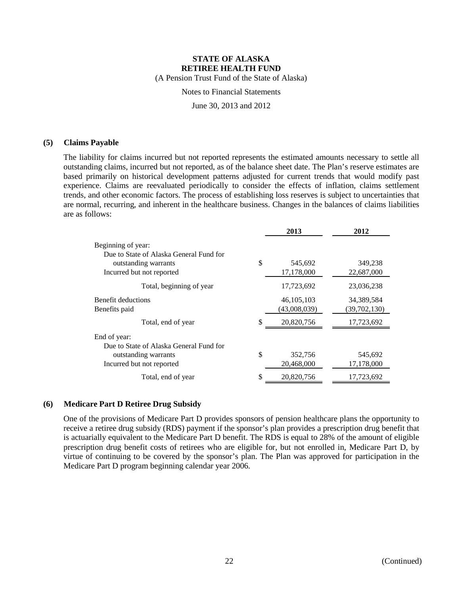(A Pension Trust Fund of the State of Alaska)

Notes to Financial Statements

June 30, 2013 and 2012

### **(5) Claims Payable**

The liability for claims incurred but not reported represents the estimated amounts necessary to settle all outstanding claims, incurred but not reported, as of the balance sheet date. The Plan's reserve estimates are based primarily on historical development patterns adjusted for current trends that would modify past experience. Claims are reevaluated periodically to consider the effects of inflation, claims settlement trends, and other economic factors. The process of establishing loss reserves is subject to uncertainties that are normal, recurring, and inherent in the healthcare business. Changes in the balances of claims liabilities are as follows:

|                                                               |    | 2013         | 2012         |
|---------------------------------------------------------------|----|--------------|--------------|
| Beginning of year:<br>Due to State of Alaska General Fund for |    |              |              |
| outstanding warrants                                          | \$ | 545,692      | 349,238      |
| Incurred but not reported                                     |    | 17,178,000   | 22,687,000   |
| Total, beginning of year                                      |    | 17,723,692   | 23,036,238   |
| Benefit deductions                                            |    | 46, 105, 103 | 34,389,584   |
| Benefits paid                                                 |    | (43,008,039) | (39,702,130) |
| Total, end of year                                            | \$ | 20,820,756   | 17,723,692   |
| End of year:                                                  |    |              |              |
| Due to State of Alaska General Fund for                       |    |              |              |
| outstanding warrants                                          | \$ | 352,756      | 545,692      |
| Incurred but not reported                                     |    | 20,468,000   | 17,178,000   |
| Total, end of year                                            | \$ | 20,820,756   | 17,723,692   |

### **(6) Medicare Part D Retiree Drug Subsidy**

One of the provisions of Medicare Part D provides sponsors of pension healthcare plans the opportunity to receive a retiree drug subsidy (RDS) payment if the sponsor's plan provides a prescription drug benefit that is actuarially equivalent to the Medicare Part D benefit. The RDS is equal to 28% of the amount of eligible prescription drug benefit costs of retirees who are eligible for, but not enrolled in, Medicare Part D, by virtue of continuing to be covered by the sponsor's plan. The Plan was approved for participation in the Medicare Part D program beginning calendar year 2006.